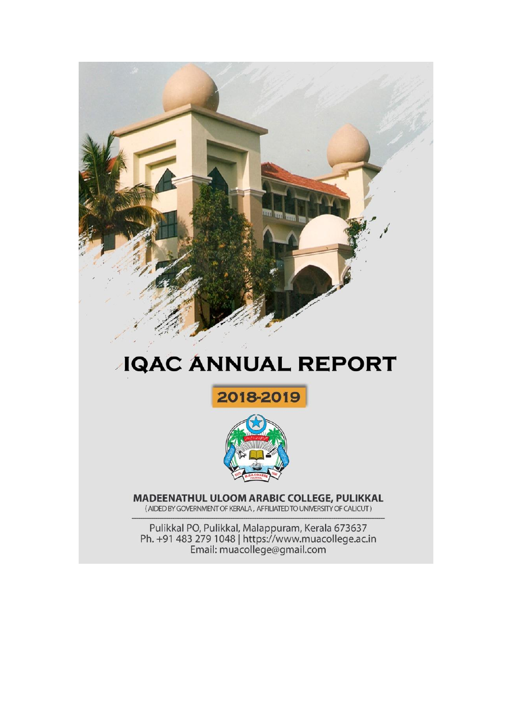

# **JQAC ANNUAL REPORT**





MADEENATHUL ULOOM ARABIC COLLEGE, PULIKKAL (AIDED BY GOVERNMENT OF KERALA, AFFILIATED TO UNIVERSITY OF CALICUT)

Pulikkal PO, Pulikkal, Malappuram, Kerala 673637<br>Ph. +91 483 279 1048 | https://www.muacollege.ac.in<br>Email: muacollege@gmail.com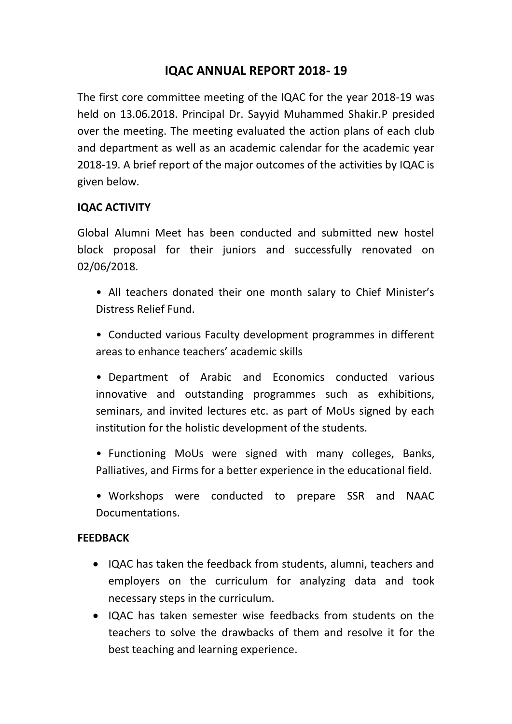# **IQAC ANNUAL REPORT 2018- 19**

The first core committee meeting of the IQAC for the year 2018-19 was held on 13.06.2018. Principal Dr. Sayyid Muhammed Shakir.P presided over the meeting. The meeting evaluated the action plans of each club and department as well as an academic calendar for the academic year 2018-19. A brief report of the major outcomes of the activities by IQAC is given below.

#### **IQAC ACTIVITY**

Global Alumni Meet has been conducted and submitted new hostel block proposal for their juniors and successfully renovated on 02/06/2018.

- All teachers donated their one month salary to Chief Minister's Distress Relief Fund.
- Conducted various Faculty development programmes in different areas to enhance teachers' academic skills
- Department of Arabic and Economics conducted various innovative and outstanding programmes such as exhibitions, seminars, and invited lectures etc. as part of MoUs signed by each institution for the holistic development of the students.
- Functioning MoUs were signed with many colleges, Banks, Palliatives, and Firms for a better experience in the educational field.
- Workshops were conducted to prepare SSR and NAAC Documentations.

#### **FEEDBACK**

- IQAC has taken the feedback from students, alumni, teachers and employers on the curriculum for analyzing data and took necessary steps in the curriculum.
- IQAC has taken semester wise feedbacks from students on the teachers to solve the drawbacks of them and resolve it for the best teaching and learning experience.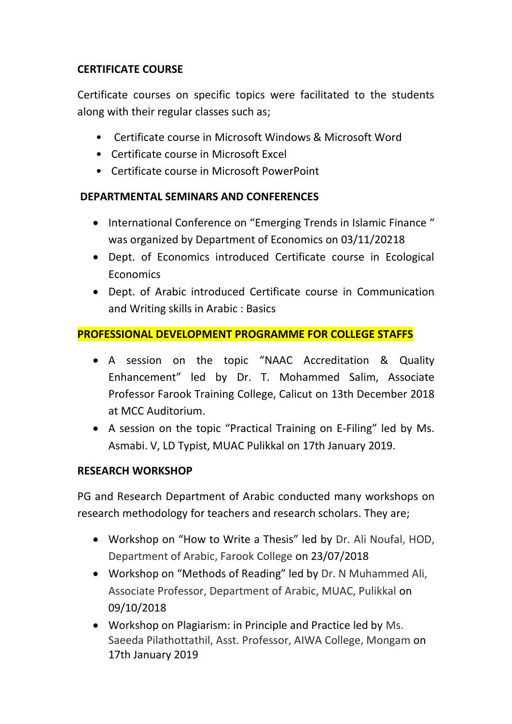# **CERTIFICATE COURSE**

Certificate courses on specific topics were facilitated to the students along with their regular classes such as;

- Certificate course in Microsoft Windows & Microsoft Word
- Certificate course in Microsoft Excel
- Certificate course in Microsoft PowerPoint

# **DEPARTMENTAL SEMINARS AND CONFERENCES**

- International Conference on "Emerging Trends in Islamic Finance" was organized by Department of Economics on 03/11/20218
- Dept. of Economics introduced Certificate course in Ecological **Economics**
- Dept. of Arabic introduced Certificate course in Communication and Writing skills in Arabic : Basics

# **PROFESSIONAL DEVELOPMENT PROGRAMME FOR COLLEGE STAFFS**

- A session on the topic "NAAC Accreditation & Quality Enhancement" led by Dr. T. Mohammed Salim, Associate Professor Farook Training College, Calicut on 13th December 2018 at MCC Auditorium.
- A session on the topic "Practical Training on E-Filing" led by Ms. Asmabi. V, LD Typist, MUAC Pulikkal on 17th January 2019.

# **RESEARCH WORKSHOP**

PG and Research Department of Arabic conducted many workshops on research methodology for teachers and research scholars. They are;

- Workshop on "How to Write a Thesis" led by Dr. Ali Noufal, HOD, Department of Arabic, Farook College on 23/07/2018
- Workshop on "Methods of Reading" led by Dr. N Muhammed Ali, Associate Professor, Department of Arabic, MUAC, Pulikkal on 09/10/2018
- Workshop on Plagiarism: in Principle and Practice led by Ms. Saeeda Pilathottathil, Asst. Professor, AIWA College, Mongam on 17th January 2019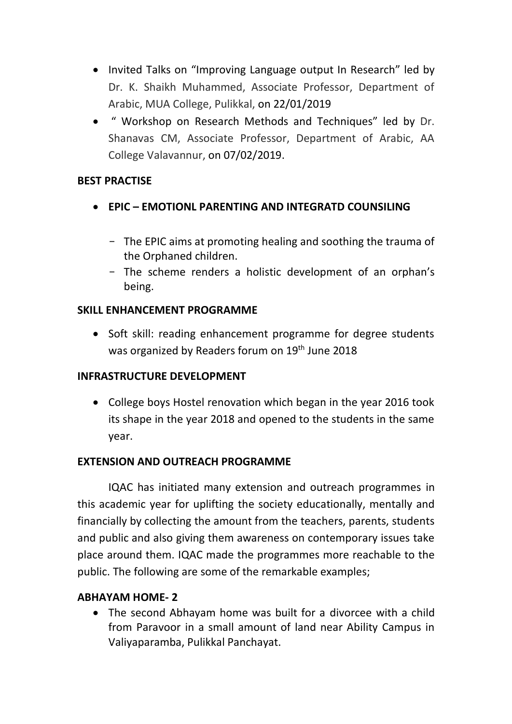- Invited Talks on "Improving Language output In Research" led by Dr. K. Shaikh Muhammed, Associate Professor, Department of Arabic, MUA College, Pulikkal, on 22/01/2019
- " Workshop on Research Methods and Techniques" led by Dr. Shanavas CM, Associate Professor, Department of Arabic, AA College Valavannur, on 07/02/2019.

#### **BEST PRACTISE**

- **EPIC – EMOTIONL PARENTING AND INTEGRATD COUNSILING** 
	- The EPIC aims at promoting healing and soothing the trauma of the Orphaned children.
	- The scheme renders a holistic development of an orphan's being.

## **SKILL ENHANCEMENT PROGRAMME**

• Soft skill: reading enhancement programme for degree students was organized by Readers forum on 19<sup>th</sup> June 2018

# **INFRASTRUCTURE DEVELOPMENT**

 College boys Hostel renovation which began in the year 2016 took its shape in the year 2018 and opened to the students in the same year.

# **EXTENSION AND OUTREACH PROGRAMME**

IQAC has initiated many extension and outreach programmes in this academic year for uplifting the society educationally, mentally and financially by collecting the amount from the teachers, parents, students and public and also giving them awareness on contemporary issues take place around them. IQAC made the programmes more reachable to the public. The following are some of the remarkable examples;

# **ABHAYAM HOME- 2**

 The second Abhayam home was built for a divorcee with a child from Paravoor in a small amount of land near Ability Campus in Valiyaparamba, Pulikkal Panchayat.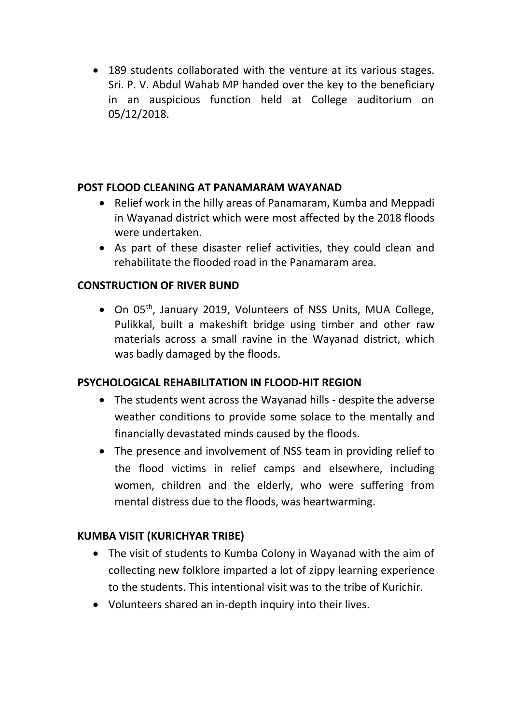189 students collaborated with the venture at its various stages. Sri. P. V. Abdul Wahab MP handed over the key to the beneficiary in an auspicious function held at College auditorium on 05/12/2018.

#### **POST FLOOD CLEANING AT PANAMARAM WAYANAD**

- Relief work in the hilly areas of Panamaram, Kumba and Meppadi in Wayanad district which were most affected by the 2018 floods were undertaken.
- As part of these disaster relief activities, they could clean and rehabilitate the flooded road in the Panamaram area.

#### **CONSTRUCTION OF RIVER BUND**

 $\bullet$  On 05<sup>th</sup>, January 2019, Volunteers of NSS Units, MUA College, Pulikkal, built a makeshift bridge using timber and other raw materials across a small ravine in the Wayanad district, which was badly damaged by the floods.

#### **PSYCHOLOGICAL REHABILITATION IN FLOOD-HIT REGION**

- The students went across the Wayanad hills despite the adverse weather conditions to provide some solace to the mentally and financially devastated minds caused by the floods.
- The presence and involvement of NSS team in providing relief to the flood victims in relief camps and elsewhere, including women, children and the elderly, who were suffering from mental distress due to the floods, was heartwarming.

#### **KUMBA VISIT (KURICHYAR TRIBE)**

- The visit of students to Kumba Colony in Wayanad with the aim of collecting new folklore imparted a lot of zippy learning experience to the students. This intentional visit was to the tribe of Kurichir.
- Volunteers shared an in-depth inquiry into their lives.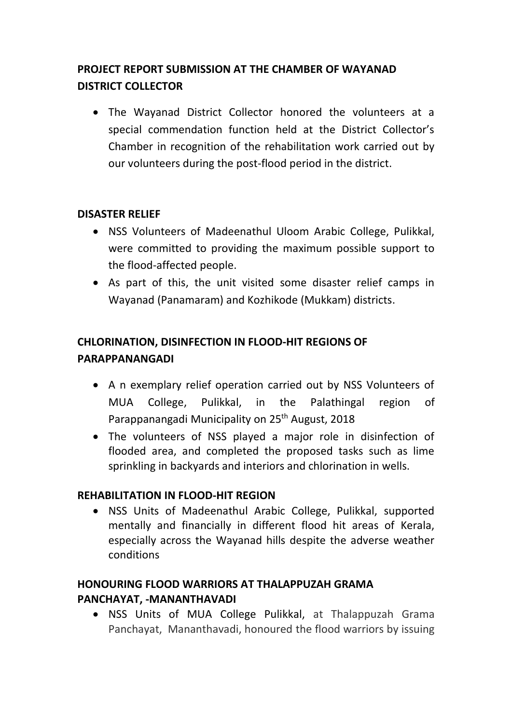# **PROJECT REPORT SUBMISSION AT THE CHAMBER OF WAYANAD DISTRICT COLLECTOR**

 The Wayanad District Collector honored the volunteers at a special commendation function held at the District Collector's Chamber in recognition of the rehabilitation work carried out by our volunteers during the post-flood period in the district.

## **DISASTER RELIEF**

- NSS Volunteers of Madeenathul Uloom Arabic College, Pulikkal, were committed to providing the maximum possible support to the flood-affected people.
- As part of this, the unit visited some disaster relief camps in Wayanad (Panamaram) and Kozhikode (Mukkam) districts.

# **CHLORINATION, DISINFECTION IN FLOOD-HIT REGIONS OF PARAPPANANGADI**

- A n exemplary relief operation carried out by NSS Volunteers of MUA College, Pulikkal, in the Palathingal region of Parappanangadi Municipality on 25<sup>th</sup> August, 2018
- The volunteers of NSS played a major role in disinfection of flooded area, and completed the proposed tasks such as lime sprinkling in backyards and interiors and chlorination in wells.

#### **REHABILITATION IN FLOOD-HIT REGION**

 NSS Units of Madeenathul Arabic College, Pulikkal, supported mentally and financially in different flood hit areas of Kerala, especially across the Wayanad hills despite the adverse weather conditions

# **HONOURING FLOOD WARRIORS AT THALAPPUZAH GRAMA PANCHAYAT, -MANANTHAVADI**

 NSS Units of MUA College Pulikkal, at Thalappuzah Grama Panchayat, Mananthavadi, honoured the flood warriors by issuing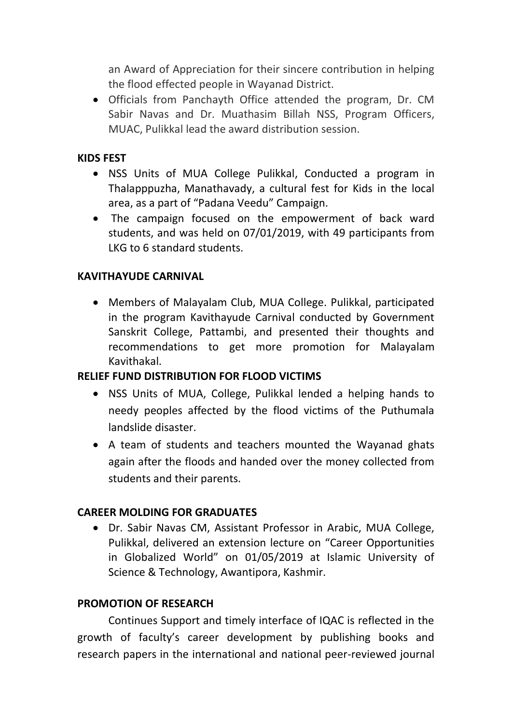an Award of Appreciation for their sincere contribution in helping the flood effected people in Wayanad District.

 Officials from Panchayth Office attended the program, Dr. CM Sabir Navas and Dr. Muathasim Billah NSS, Program Officers, MUAC, Pulikkal lead the award distribution session.

#### **KIDS FEST**

- NSS Units of MUA College Pulikkal, Conducted a program in Thalapppuzha, Manathavady, a cultural fest for Kids in the local area, as a part of "Padana Veedu" Campaign.
- The campaign focused on the empowerment of back ward students, and was held on 07/01/2019, with 49 participants from LKG to 6 standard students.

#### **KAVITHAYUDE CARNIVAL**

 Members of Malayalam Club, MUA College. Pulikkal, participated in the program Kavithayude Carnival conducted by Government Sanskrit College, Pattambi, and presented their thoughts and recommendations to get more promotion for Malayalam Kavithakal.

#### **RELIEF FUND DISTRIBUTION FOR FLOOD VICTIMS**

- NSS Units of MUA, College, Pulikkal lended a helping hands to needy peoples affected by the flood victims of the Puthumala landslide disaster.
- A team of students and teachers mounted the Wayanad ghats again after the floods and handed over the money collected from students and their parents.

#### **CAREER MOLDING FOR GRADUATES**

 Dr. Sabir Navas CM, Assistant Professor in Arabic, MUA College, Pulikkal, delivered an extension lecture on "Career Opportunities in Globalized World" on 01/05/2019 at Islamic University of Science & Technology, Awantipora, Kashmir.

#### **PROMOTION OF RESEARCH**

Continues Support and timely interface of IQAC is reflected in the growth of faculty's career development by publishing books and research papers in the international and national peer-reviewed journal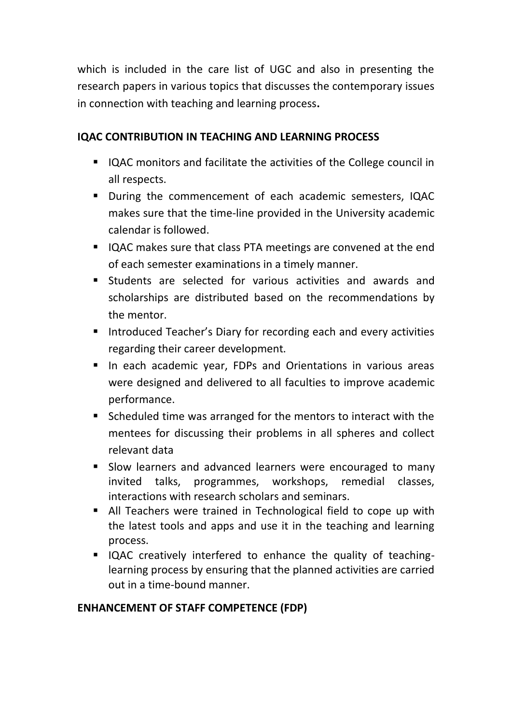which is included in the care list of UGC and also in presenting the research papers in various topics that discusses the contemporary issues in connection with teaching and learning process**.**

## **IQAC CONTRIBUTION IN TEACHING AND LEARNING PROCESS**

- IQAC monitors and facilitate the activities of the College council in all respects.
- During the commencement of each academic semesters, IQAC makes sure that the time-line provided in the University academic calendar is followed.
- IQAC makes sure that class PTA meetings are convened at the end of each semester examinations in a timely manner.
- Students are selected for various activities and awards and scholarships are distributed based on the recommendations by the mentor.
- **Introduced Teacher's Diary for recording each and every activities** regarding their career development.
- **If** In each academic year, FDPs and Orientations in various areas were designed and delivered to all faculties to improve academic performance.
- Scheduled time was arranged for the mentors to interact with the mentees for discussing their problems in all spheres and collect relevant data
- **Slow learners and advanced learners were encouraged to many** invited talks, programmes, workshops, remedial classes, interactions with research scholars and seminars.
- All Teachers were trained in Technological field to cope up with the latest tools and apps and use it in the teaching and learning process.
- IQAC creatively interfered to enhance the quality of teachinglearning process by ensuring that the planned activities are carried out in a time-bound manner.

#### **ENHANCEMENT OF STAFF COMPETENCE (FDP)**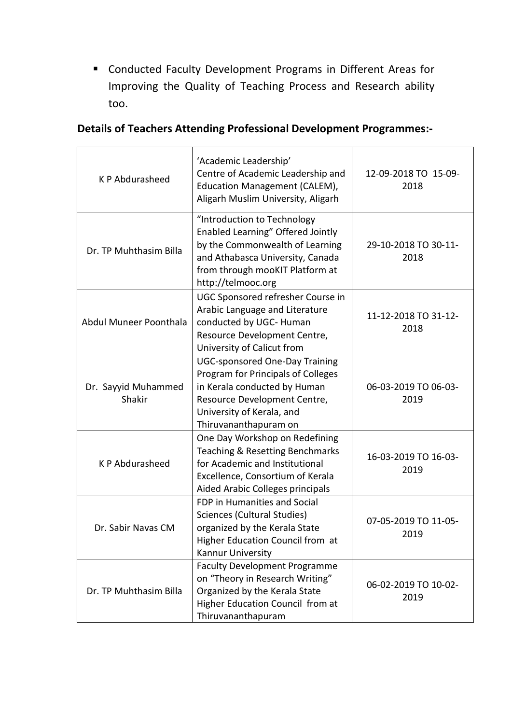Conducted Faculty Development Programs in Different Areas for Improving the Quality of Teaching Process and Research ability too.

| K P Abdurasheed               | 'Academic Leadership'<br>Centre of Academic Leadership and<br>Education Management (CALEM),<br>Aligarh Muslim University, Aligarh                                                                 | 12-09-2018 TO 15-09-<br>2018 |
|-------------------------------|---------------------------------------------------------------------------------------------------------------------------------------------------------------------------------------------------|------------------------------|
| Dr. TP Muhthasim Billa        | "Introduction to Technology<br>Enabled Learning" Offered Jointly<br>by the Commonwealth of Learning<br>and Athabasca University, Canada<br>from through mooKIT Platform at<br>http://telmooc.org  | 29-10-2018 TO 30-11-<br>2018 |
| Abdul Muneer Poonthala        | UGC Sponsored refresher Course in<br>Arabic Language and Literature<br>conducted by UGC- Human<br>Resource Development Centre,<br>University of Calicut from                                      | 11-12-2018 TO 31-12-<br>2018 |
| Dr. Sayyid Muhammed<br>Shakir | <b>UGC-sponsored One-Day Training</b><br>Program for Principals of Colleges<br>in Kerala conducted by Human<br>Resource Development Centre,<br>University of Kerala, and<br>Thiruvananthapuram on | 06-03-2019 TO 06-03-<br>2019 |
| K P Abdurasheed               | One Day Workshop on Redefining<br>Teaching & Resetting Benchmarks<br>for Academic and Institutional<br>Excellence, Consortium of Kerala<br>Aided Arabic Colleges principals                       | 16-03-2019 TO 16-03-<br>2019 |
| Dr. Sabir Navas CM            | <b>FDP in Humanities and Social</b><br>Sciences (Cultural Studies)<br>organized by the Kerala State<br>Higher Education Council from at<br>Kannur University                                      | 07-05-2019 TO 11-05-<br>2019 |
| Dr. TP Muhthasim Billa        | <b>Faculty Development Programme</b><br>on "Theory in Research Writing"<br>Organized by the Kerala State<br>Higher Education Council from at<br>Thiruvananthapuram                                | 06-02-2019 TO 10-02-<br>2019 |

# **Details of Teachers Attending Professional Development Programmes:-**